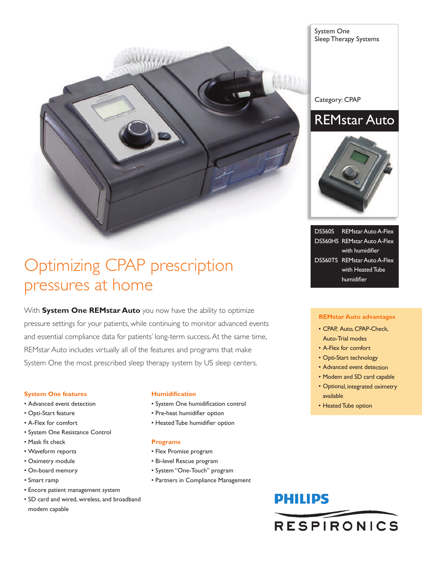

System One Sleep Therapy Systems

Category: CPAP





DS560S REMstar Auto A-Flex DS560HS REMstar Auto A-Flex with humidifier DS560TS REMstar Auto A-Flex with Heated Tube humidifier

### **REMstar Auto advantages**

- CPAP, Auto, CPAP-Check, Auto-Trial modes
- A-Flex for comfort
- Opti-Start technology
- Advanced event detection
- Modem and SD card capable
- Optional, integrated oximetry available
- Heated Tube option

## Optimizing CPAP prescription pressures at home

With **System One REMstar Auto** you now have the ability to optimize pressure settings for your patients, while continuing to monitor advanced events and essential compliance data for patients' long-term success.At the same time, REMstar Auto includes virtually all of the features and programs that make System One the most prescribed sleep therapy system by US sleep centers.

#### **System One features**

- Advanced event detection
- Opti-Start feature
- A-Flex for comfort
- System One Resistance Control
- Mask fit check
- Waveform reports
- Oximetry module
- On-board memory
- Smart ramp
- Encore patient management system
- SD card and wired, wireless, and broadband modem capable

#### **Humidification**

- System One humidification control
- Pre-heat humidifier option
- Heated Tube humidifier option

#### **Programs**

- Flex Promise program
- Bi-level Rescue program
- System "One-Touch" program
- Partners in Compliance Management

# **PHILIPS RESPIRONICS**